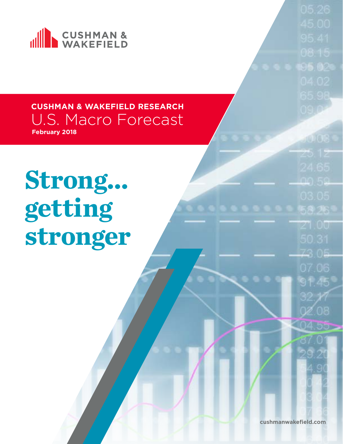

**Strong... getting stronger**

**cushmanwakefield.com**

 $0.51$ 

Z1.00

73.05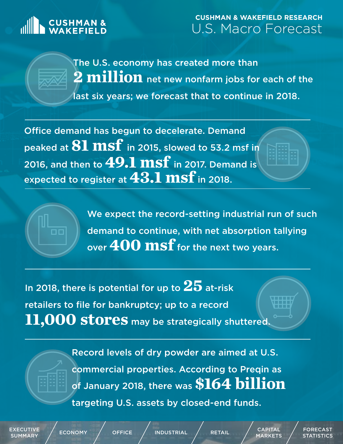# **CUSHMAN &**

### **CUSHMAN & WAKEFIELD RESEARCH** U.S. Macro Forecast

The U.S. economy has created more than **2 million** net new nonfarm jobs for each of the last six years; we forecast that to continue in 2018.

Office demand has begun to decelerate. Demand peaked at **81 msf** in 2015, slowed to 53.2 msf in 2016, and then to **49.1 msf** in 2017. Demand is expected to register at **43.1 msf** in 2018.

> We expect the record-setting industrial run of such demand to continue, with net absorption tallying over **400 msf** for the next two years.

In 2018, there is potential for up to **25** at-risk retailers to file for bankruptcy; up to a record 11,000 stores may be strategically shuttered.

> Record levels of dry powder are aimed at U.S. commercial properties. According to Preqin as of January 2018, there was **\$164 billion**

targeting U.S. assets by closed-end funds.

[EXECUTIVE](#page-2-0) 

 $\begin{array}{ccc} \text{EXECUTIVE} \end{array} \hspace{1.2cm} \Big/ \hspace{1.2cm} \begin{array}{ccc} \text{ECUTIVE} \end{array} \hspace{1.2cm} \Big/ \hspace{1.2cm} \text{ECONOMY} \end{array} \hspace{1.2cm} \Big/ \hspace{1.2cm} \begin{array}{ccc} \text{OFFICE} \end{array} \hspace{1.2cm} \Big/ \hspace{1.2cm} \begin{array}{ccc} \text{RETAIL} \end{array} \hspace{1.2cm} \Big/ \hspace{1.2cm} \begin{array}{ccc} \text{CAPITAL} \end{array}$  $\begin{array}{ccc} \text{EXECUTIVE} \end{array} \hspace{1.2cm} \Big/ \hspace{1.2cm} \begin{array}{ccc} \text{ECUTIVE} \end{array} \hspace{1.2cm} \Big/ \hspace{1.2cm} \text{ECONOMY} \end{array} \hspace{1.2cm} \Big/ \hspace{1.2cm} \begin{array}{ccc} \text{OFFICE} \end{array} \hspace{1.2cm} \Big/ \hspace{1.2cm} \begin{array}{ccc} \text{RETAIL} \end{array} \hspace{1.2cm} \Big/ \hspace{1.2cm} \begin{array}{ccc} \text{CAPITAL} \end{array}$  $\begin{array}{ccc} \text{EXECUTIVE} \end{array} \hspace{1.2cm} \Big/ \hspace{1.2cm} \begin{array}{ccc} \text{ECUTIVE} \end{array} \hspace{1.2cm} \Big/ \hspace{1.2cm} \text{ECONOMY} \end{array} \hspace{1.2cm} \Big/ \hspace{1.2cm} \begin{array}{ccc} \text{OFFICE} \end{array} \hspace{1.2cm} \Big/ \hspace{1.2cm} \begin{array}{ccc} \text{RETAIL} \end{array} \hspace{1.2cm} \Big/ \hspace{1.2cm} \begin{array}{ccc} \text{CAPITAL} \end{array}$  $\begin{array}{ccc} \text{EXECUTIVE} \end{array} \hspace{1.2cm} \Big/ \hspace{1.2cm} \begin{array}{ccc} \text{ECUTIVE} \end{array} \hspace{1.2cm} \Big/ \hspace{1.2cm} \text{ECONOMY} \end{array} \hspace{1.2cm} \Big/ \hspace{1.2cm} \begin{array}{ccc} \text{OFFICE} \end{array} \hspace{1.2cm} \Big/ \hspace{1.2cm} \begin{array}{ccc} \text{RETAIL} \end{array} \hspace{1.2cm} \Big/ \hspace{1.2cm} \begin{array}{ccc} \text{CAPITAL} \end{array}$  $\begin{array}{ccc} \text{EXECUTIVE} \end{array} \hspace{1.2cm} \Big/ \hspace{1.2cm} \begin{array}{ccc} \text{ECUTIVE} \end{array} \hspace{1.2cm} \Big/ \hspace{1.2cm} \text{ECONOMY} \end{array} \hspace{1.2cm} \Big/ \hspace{1.2cm} \begin{array}{ccc} \text{OFFICE} \end{array} \hspace{1.2cm} \Big/ \hspace{1.2cm} \begin{array}{ccc} \text{RETAIL} \end{array} \hspace{1.2cm} \Big/ \hspace{1.2cm} \begin{array}{ccc} \text{CAPITAL} \end{array}$  $\begin{array}{ccc} \text{EXECUTIVE} \end{array} \hspace{1.2cm} \Big/ \hspace{1.2cm} \begin{array}{ccc} \text{ECUTIVE} \end{array} \hspace{1.2cm} \Big/ \hspace{1.2cm} \text{ECONOMY} \end{array} \hspace{1.2cm} \Big/ \hspace{1.2cm} \begin{array}{ccc} \text{OFFICE} \end{array} \hspace{1.2cm} \Big/ \hspace{1.2cm} \begin{array}{ccc} \text{RETAIL} \end{array} \hspace{1.2cm} \Big/ \hspace{1.2cm} \begin{array}{ccc} \text{CAPITAL} \end{array}$  $\begin{array}{ccc} \text{EXECUTIVE} \end{array} \hspace{1.2cm} \Big/ \hspace{1.2cm} \begin{array}{ccc} \text{ECUTIVE} \end{array} \hspace{1.2cm} \Big/ \hspace{1.2cm} \text{ECONOMY} \end{array} \hspace{1.2cm} \Big/ \hspace{1.2cm} \begin{array}{ccc} \text{OFFICE} \end{array} \hspace{1.2cm} \Big/ \hspace{1.2cm} \begin{array}{ccc} \text{RETAIL} \end{array} \hspace{1.2cm} \Big/ \hspace{1.2cm} \begin{array}{ccc} \text{CAPITAL} \end{array}$ [MARKETS](#page-8-0)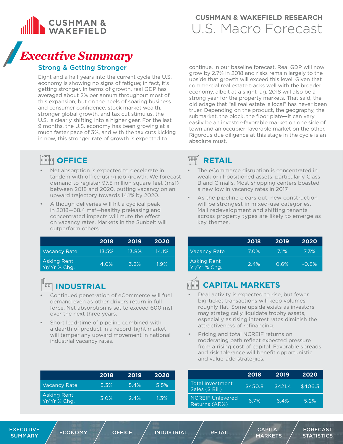<span id="page-2-0"></span>

## *Executive Summary*

### Strong & Getting Stronger

Eight and a half years into the current cycle the U.S. economy is showing no signs of fatigue; in fact, it's getting stronger. In terms of growth, real GDP has averaged about 2% per annum throughout most of this expansion, but on the heels of soaring business and consumer confidence, stock market wealth, stronger global growth, and tax cut stimulus, the U.S. is clearly shifting into a higher gear. For the last 9 months, the U.S. economy has been growing at a much faster pace of 3%, and with the tax cuts kicking in now, this stronger rate of growth is expected to

### **EREE OFFICE**

- Net absorption is expected to decelerate in tandem with office-using job growth. We forecast demand to register 97.5 million square feet (msf) between 2018 and 2020, putting vacancy on an upward trajectory towards 14.1% by 2020.
- Although deliveries will hit a cyclical peak in 2018—68.4 msf—healthy preleasing and concentrated impacts will mute the effect on vacancy rates. Markets in the Sunbelt will outperform others.

|                                    | 2018  | 2019  | 2020  |
|------------------------------------|-------|-------|-------|
| Vacancy Rate                       | 13.5% | 13.8% | 14.1% |
| <b>Asking Rent</b><br>Yr/Yr % Chg. | 4.0%  | 3.2%  | 1.9%  |

#### $\overline{10}$ **INDUSTRIAL**

- Continued penetration of eCommerce will fuel demand even as other drivers return in full force. Net absorption is set to exceed 600 msf over the next three years.
- Short lead-time of pipeline combined with a dearth of product in a record-tight market will temper any upward movement in national industrial vacancy rates.

|                                    | 2018 | 2019 | 2020 |
|------------------------------------|------|------|------|
| <b>Vacancy Rate</b>                | 5.3% | 5.4% | 5.5% |
| <b>Asking Rent</b><br>Yr/Yr % Chg. | 3.0% | 2.4% | 1.3% |

continue. In our baseline forecast, Real GDP will now grow by 2.7% in 2018 and risks remain largely to the upside that growth will exceed this level. Given that commercial real estate tracks well with the broader economy, albeit at a slight lag, 2018 will also be a strong year for the property markets. That said, the old adage that "all real estate is local" has never been truer. Depending on the product, the geography, the submarket, the block, the floor plate—it can very easily be an investor-favorable market on one side of town and an occupier-favorable market on the other. Rigorous due diligence at this stage in the cycle is an absolute must.

#### $\overline{\mathbb{H}}$ **RETAIL**

- The eCommerce disruption is concentrated in weak or ill-positioned assets, particularly Class B and C malls. Most shopping centers boasted a new low in vacancy rates in 2017.
- As the pipeline clears out, new construction will be strongest in mixed-use categories. Mall redevelopment and shifting tenants across property types are likely to emerge as key themes.

|                                    | 2018 | 2019 | 2020     |
|------------------------------------|------|------|----------|
| <b>Vacancy Rate</b>                | 7.0% | 7.1% | 7.3%     |
| <b>Asking Rent</b><br>Yr/Yr % Chg. | 2.4% | 0.6% | $-0.8\%$ |

## **CAPITAL MARKETS**

- Deal activity is expected to rise, but fewer big-ticket transactions will keep volumes roughly flat. Some upside exists as investors may strategically liquidate trophy assets, especially as rising interest rates diminish the attractiveness of refinancing.
- Pricing and total NCREIF returns on moderating path reflect expected pressure from a rising cost of capital. Favorable spreads and risk tolerance will benefit opportunistic and value-add strategies.

|                                     | 2018    | 2019    | 2020    |
|-------------------------------------|---------|---------|---------|
| Total Investment<br>Sales (\$ Bil.) | \$450.8 | \$421.4 | \$406.3 |
| NCREIF Unlevered<br>Returns (AR%)   | 6.7%    | 6.4%    | 5.2%    |

EXECUTIVE  $\begin{array}{ccc} \texttt{EXECUTIVE} \end{array} \hspace{1em} \left/ \begin{array}{ccc} \texttt{ECONOMY} \end{array} \right/ \hspace{1em} \begin{array}{ccc} \texttt{OFFICE} \end{array} \hspace{1em} \left/ \begin{array}{ccc} \texttt{INDUSTRIAL} \end{array} \hspace{1em} \right/ \hspace{1em} \begin{array}{ccc} \texttt{RETAIL} \end{array} \hspace{1em} \left/ \begin{array}{ccc} \texttt{CAPITAL} \end{array} \right. \end{array}$  $\begin{array}{ccc} \texttt{EXECUTIVE} \end{array} \hspace{1em} \left/ \begin{array}{ccc} \texttt{ECONOMY} \end{array} \right/ \hspace{1em} \begin{array}{ccc} \texttt{OFFICE} \end{array} \hspace{1em} \left/ \begin{array}{ccc} \texttt{INDUSTRIAL} \end{array} \hspace{1em} \right/ \hspace{1em} \begin{array}{ccc} \texttt{RETAIL} \end{array} \hspace{1em} \left/ \begin{array}{ccc} \texttt{CAPITAL} \end{array} \right. \end{array}$  $\begin{array}{ccc} \texttt{EXECUTIVE} \end{array} \hspace{1em} \left/ \begin{array}{ccc} \texttt{ECONOMY} \end{array} \right/ \hspace{1em} \begin{array}{ccc} \texttt{OFFICE} \end{array} \hspace{1em} \left/ \begin{array}{ccc} \texttt{INDUSTRIAL} \end{array} \hspace{1em} \right/ \hspace{1em} \begin{array}{ccc} \texttt{RETAIL} \end{array} \hspace{1em} \left/ \begin{array}{ccc} \texttt{CAPITAL} \end{array} \right. \end{array}$  $\begin{array}{ccc} \texttt{EXECUTIVE} \end{array} \hspace{1em} \left/ \begin{array}{ccc} \texttt{ECONOMY} \end{array} \right/ \hspace{1em} \begin{array}{ccc} \texttt{OFFICE} \end{array} \hspace{1em} \left/ \begin{array}{ccc} \texttt{INDUSTRIAL} \end{array} \hspace{1em} \right/ \hspace{1em} \begin{array}{ccc} \texttt{RETAIL} \end{array} \hspace{1em} \left/ \begin{array}{ccc} \texttt{CAPITAL} \end{array} \right. \end{array}$  $\begin{array}{ccc} \texttt{EXECUTIVE} \end{array} \hspace{1em} \left/ \begin{array}{ccc} \texttt{ECONOMY} \end{array} \right/ \hspace{1em} \begin{array}{ccc} \texttt{OFFICE} \end{array} \hspace{1em} \left/ \begin{array}{ccc} \texttt{INDUSTRIAL} \end{array} \hspace{1em} \right/ \hspace{1em} \begin{array}{ccc} \texttt{RETAIL} \end{array} \hspace{1em} \left/ \begin{array}{ccc} \texttt{CAPITAL} \end{array} \right. \end{array}$  $\begin{array}{ccc} \texttt{EXECUTIVE} \end{array} \hspace{1em} \left/ \begin{array}{ccc} \texttt{ECONOMY} \end{array} \right/ \hspace{1em} \begin{array}{ccc} \texttt{OFFICE} \end{array} \hspace{1em} \left/ \begin{array}{ccc} \texttt{INDUSTRIAL} \end{array} \hspace{1em} \right/ \hspace{1em} \begin{array}{ccc} \texttt{RETAIL} \end{array} \hspace{1em} \left/ \begin{array}{ccc} \texttt{CAPITAL} \end{array} \right. \end{array}$  $\begin{array}{ccc} \texttt{EXECUTIVE} \end{array} \hspace{1em} \left/ \begin{array}{ccc} \texttt{ECONOMY} \end{array} \right/ \hspace{1em} \begin{array}{ccc} \texttt{OFFICE} \end{array} \hspace{1em} \left/ \begin{array}{ccc} \texttt{INDUSTRIAL} \end{array} \hspace{1em} \right/ \hspace{1em} \begin{array}{ccc} \texttt{RETAIL} \end{array} \hspace{1em} \left/ \begin{array}{ccc} \texttt{CAPITAL} \end{array} \right. \end{array}$  $\begin{array}{ccc} \texttt{EXECUTIVE} \end{array} \hspace{1em} \left/ \begin{array}{ccc} \texttt{ECONOMY} \end{array} \right/ \hspace{1em} \begin{array}{ccc} \texttt{OFFICE} \end{array} \hspace{1em} \left/ \begin{array}{ccc} \texttt{INDUSTRIAL} \end{array} \hspace{1em} \right/ \hspace{1em} \begin{array}{ccc} \texttt{RETAIL} \end{array} \hspace{1em} \left/ \begin{array}{ccc} \texttt{CAPITAL} \end{array} \right. \end{array}$  $\begin{array}{ccc} \texttt{EXECUTIVE} \end{array} \hspace{1em} \left/ \begin{array}{ccc} \texttt{ECONOMY} \end{array} \right/ \hspace{1em} \begin{array}{ccc} \texttt{OFFICE} \end{array} \hspace{1em} \left/ \begin{array}{ccc} \texttt{INDUSTRIAL} \end{array} \hspace{1em} \right/ \hspace{1em} \begin{array}{ccc} \texttt{RETAIL} \end{array} \hspace{1em} \left/ \begin{array}{ccc} \texttt{CAPITAL} \end{array} \right. \end{array}$ 

[MARKETS](#page-8-0)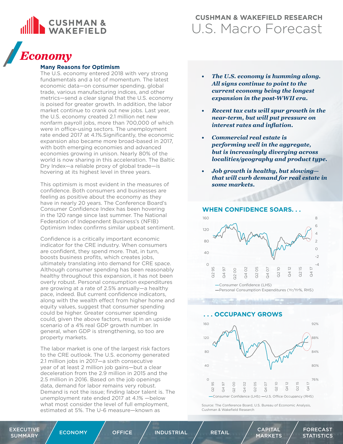<span id="page-3-0"></span>

## *Economy*

### **Many Reasons for Optimism**

The U.S. economy entered 2018 with very strong fundamentals and a lot of momentum. The latest economic data—on consumer spending, global trade, various manufacturing indices, and other metrics—send a clear signal that the U.S. economy is poised for greater growth. In addition, the labor market continue to crank out new jobs. Last year, the U.S. economy created 2.1 million net new nonfarm payroll jobs, more than 700,000 of which were in office-using sectors. The unemployment rate ended 2017 at 4.1%.Significantly, the economic expansion also became more broad-based in 2017, with both emerging economies and advanced economies growing in unison. Nearly 80% of the world is now sharing in this acceleration. The Baltic Dry Index—a reliable proxy of global trade—is hovering at its highest level in three years.

This optimism is most evident in the measures of confidence. Both consumers and businesses are feeling as positive about the economy as they have in nearly 20 years. The Conference Board's Consumer Confidence Index has been hovering in the 120 range since last summer. The National Federation of Independent Business's (NFIB) Optimism Index confirms similar upbeat sentiment.

Confidence is a critically important economic indicator for the CRE industry. When consumers are confident, they spend more. That, in turn, boosts business profits, which creates jobs, ultimately translating into demand for CRE space. Although consumer spending has been reasonably healthy throughout this expansion, it has not been overly robust. Personal consumption expenditures are growing at a rate of 2.5% annually—a healthy pace, indeed. But current confidence indicators, along with the wealth effect from higher home and equity values, suggest that consumer spending could be higher. Greater consumer spending could, given the above factors, result in an upside scenario of a 4% real GDP growth number. In general, when GDP is strengthening, so too are property markets.

The labor market is one of the largest risk factors to the CRE outlook. The U.S. economy generated 2.1 million jobs in 2017—a sixth consecutive year of at least 2 million job gains—but a clear deceleration from the 2.9 million in 2015 and the 2.5 million in 2016. Based on the job openings data, demand for labor remains very robust. Demand is not the issue; finding labor talent is. The unemployment rate ended 2017 at 4.1% —below what most consider the level of full employment, estimated at 5%. The U-6 measure—known as

- *• The U.S. economy is humming along. All signs continue to point to the current economy being the longest expansion in the post-WWII era.*
- *• Recent tax cuts will spur growth in the near-term, but will put pressure on interest rates and inflation.*
- *• Commercial real estate is performing well in the aggregate, but is increasingly diverging across localities/geography and product type.*
- *• Job growth is healthy, but slowing that will curb demand for real estate in some markets.*



### **WHEN CONFIDENCE SOARS. . .**

 **. . . OCCUPANCY GROWS**



Source: The Conference Board, U.S. Bureau of Economic Analysis, Cushman & Wakefield Research

[EXECUTIVE](#page-2-0) 

 $\begin{array}{ccc} \text{EXECUTIVE} \end{array} \hspace{1.2cm} \Big/ \hspace{1.2cm} \begin{array}{ccc} \text{ECUTIVE} \end{array} \hspace{1.2cm} \Big/ \hspace{1.2cm} \text{ECONOMY} \end{array} \hspace{1.2cm} \Big/ \hspace{1.2cm} \begin{array}{ccc} \text{OFFICE} \end{array} \hspace{1.2cm} \Big/ \hspace{1.2cm} \begin{array}{ccc} \text{RETAIL} \end{array} \hspace{1.2cm} \Big/ \hspace{1.2cm} \begin{array}{c} \text{CAPITAL} \end{array}$  $\begin{array}{ccc} \text{EXECUTIVE} \end{array} \hspace{1.2cm} \Big/ \hspace{1.2cm} \begin{array}{ccc} \text{ECUTIVE} \end{array} \hspace{1.2cm} \Big/ \hspace{1.2cm} \text{ECONOMY} \end{array} \hspace{1.2cm} \Big/ \hspace{1.2cm} \begin{array}{ccc} \text{OFFICE} \end{array} \hspace{1.2cm} \Big/ \hspace{1.2cm} \begin{array}{ccc} \text{RETAIL} \end{array} \hspace{1.2cm} \Big/ \hspace{1.2cm} \begin{array}{c} \text{CAPITAL} \end{array}$  $\begin{array}{ccc} \text{EXECUTIVE} \end{array} \hspace{1.2cm} \Big/ \hspace{1.2cm} \begin{array}{ccc} \text{ECUTIVE} \end{array} \hspace{1.2cm} \Big/ \hspace{1.2cm} \text{ECONOMY} \end{array} \hspace{1.2cm} \Big/ \hspace{1.2cm} \begin{array}{ccc} \text{OFFICE} \end{array} \hspace{1.2cm} \Big/ \hspace{1.2cm} \begin{array}{ccc} \text{RETAIL} \end{array} \hspace{1.2cm} \Big/ \hspace{1.2cm} \begin{array}{c} \text{CAPITAL} \end{array}$  $\begin{array}{ccc} \text{EXECUTIVE} \end{array} \hspace{1.2cm} \Big/ \hspace{1.2cm} \begin{array}{ccc} \text{ECUTIVE} \end{array} \hspace{1.2cm} \Big/ \hspace{1.2cm} \text{ECONOMY} \end{array} \hspace{1.2cm} \Big/ \hspace{1.2cm} \begin{array}{ccc} \text{OFFICE} \end{array} \hspace{1.2cm} \Big/ \hspace{1.2cm} \begin{array}{ccc} \text{RETAIL} \end{array} \hspace{1.2cm} \Big/ \hspace{1.2cm} \begin{array}{c} \text{CAPITAL} \end{array}$  $\begin{array}{ccc} \text{EXECUTIVE} \end{array} \hspace{1.2cm} \Big/ \hspace{1.2cm} \begin{array}{ccc} \text{ECUTIVE} \end{array} \hspace{1.2cm} \Big/ \hspace{1.2cm} \text{ECONOMY} \end{array} \hspace{1.2cm} \Big/ \hspace{1.2cm} \begin{array}{ccc} \text{OFFICE} \end{array} \hspace{1.2cm} \Big/ \hspace{1.2cm} \begin{array}{ccc} \text{RETAIL} \end{array} \hspace{1.2cm} \Big/ \hspace{1.2cm} \begin{array}{c} \text{CAPITAL} \end{array}$ 

[MARKETS](#page-8-0)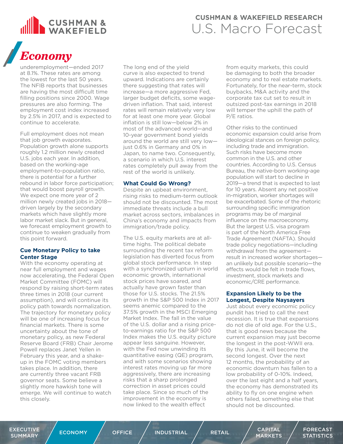

## *Economy*

underemployment—ended 2017 at 8.1%. These rates are among the lowest for the last 50 years. The NFIB reports that businesses are having the most difficult time filling positions since 2000. Wage pressures are also forming. The employment cost index increased by 2.5% in 2017, and is expected to continue to accelerate.

Full employment does not mean that job growth evaporates. Population growth alone supports roughly 1.2 million newly created U.S. jobs each year. In addition, based on the working-age employment-to-population ratio, there is potential for a further rebound in labor force participation; that would boost payroll growth. We expect one more year of 2 million newly created jobs in 2018 driven largely by the secondary markets which have slightly more labor market slack. But in general, we forecast employment growth to continue to weaken gradually from this point forward.

### **Cue Monetary Policy to take Center Stage**

With the economy operating at near full employment and wages now accelerating, the Federal Open Market Committee (FOMC) will respond by raising short-term rates three times in 2018 (our current assumption), and will continue its policy path towards normalization. The trajectory for monetary policy will be one of increasing focus for financial markets. There is some uncertainty about the tone of monetary policy, as new Federal Reserve Board (FRB) Chair Jerome Powell replaces Janet Yellen in February this year, and a shakeup in the FOMC voting members takes place. In addition, there are currently three vacant FRB governor seats. Some believe a slightly more hawkish tone will emerge. We will continue to watch this closely.

The long end of the yield curve is also expected to trend upward. Indications are certainly there suggesting that rates will increase—a more aggressive Fed, larger budget deficits, some wagedriven inflation. That said, interest rates will remain relatively very low for at least one more year. Global inflation is still low—below 2% in most of the advanced world—and 10-year government bond vields around the world are still very low just 0.6% in Germany and 0% in Japan, to name two. Consequently, a scenario in which U.S. interest rates completely pull away from the rest of the world is unlikely.

### **What Could Go Wrong?**

Despite an upbeat environment, rising risks to medium-term outlook should not be discounted. The most immediate threats include a bull market across sectors, imbalances in China's economy and impacts from immigration/trade policy.

The U.S. equity markets are at alltime highs. The political debate surrounding the recent tax reform legislation has diverted focus from global stock performance. In step with a synchronized upturn in world economic growth, international stock prices have soared, and actually have grown faster than those for U.S. stocks. The 21.5% growth in the S&P 500 Index in 2017 seems anemic compared to the 37.5% growth in the MSCI Emerging Market Index. The fall in the value of the U.S. dollar and a rising priceto-earnings ratio for the S&P 500 Index makes the U.S. equity picture appear less sanguine. However, with the Fed now unwinding its quantitative easing (QE) program, and with some scenarios showing interest rates moving up far more aggressively, there are increasing risks that a sharp prolonged correction in asset prices could take place. Since so much of the improvement in the economy is now linked to the wealth effect

from equity markets, this could be damaging to both the broader economy and to real estate markets. Fortunately, for the near-term, stock buybacks, M&A activity and the corporate tax cut set to result in outsized post-tax earnings in 2018 will temper the uphill the path of P/E ratios.

Other risks to the continued economic expansion could arise from ideological stances on foreign policy, including trade and immigration. Such risks have become more common in the U.S. and other countries. According to U.S. Census Bureau, the native-born working-age population will start to decline in 2019—a trend that is expected to last for 10 years. Absent any net positive in-migration, worker shortages will be exacerbated. Some of the rhetoric surrounding specific immigration programs may be of marginal influence on the macroeconomy. But the largest U.S. visa program is part of the North America Free Trade Agreement (NAFTA). Should trade policy negotiations—including withdrawal from the agreement result in increased worker shortages an unlikely but possible scenario—the effects would be felt in trade flows, investment, stock markets and economic/CRE performance.

#### **Expansion Likely to be the Longest, Despite Naysayers**

Just about every economic policy pundit has tried to call the next recession. It is true that expansions do not die of old age. For the U.S., that is good news because the current expansion may just become the longest in the post-WWII era. By this June, it will become the second longest. Over the next 12 months, the probability of an economic downturn has fallen to a low probability of 0-10%. Indeed, over the last eight and a half years, the economy has demonstrated its ability to fly on one engine when others failed, something else that should not be discounted.

[MARKETS](#page-8-0)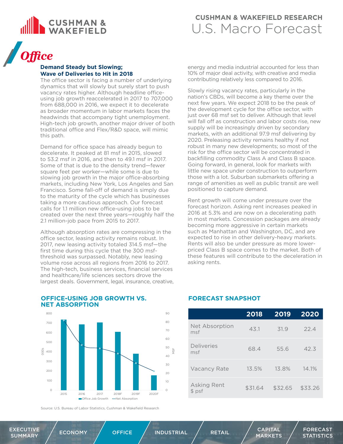<span id="page-5-0"></span>

## *Office*

### **Demand Steady but Slowing; Wave of Deliveries to Hit in 2018**

The office sector is facing a number of underlying dynamics that will slowly but surely start to push vacancy rates higher. Although headline officeusing job growth reaccelerated in 2017 to 707,000 from 688,000 in 2016, we expect it to decelerate as broader momentum in labor markets faces the headwinds that accompany tight unemployment. High-tech job growth, another major driver of both traditional office and Flex/R&D space, will mimic this path.

Demand for office space has already begun to decelerate. It peaked at 81 msf in 2015, slowed to 53.2 msf in 2016, and then to 49.1 msf in 2017. Some of that is due to the density trend—fewer square feet per worker—while some is due to slowing job growth in the major office-absorbing markets, including New York, Los Angeles and San Francisco. Some fall-off of demand is simply due to the maturity of the cycle which has businesses taking a more cautious approach. Our forecast calls for 1.1 million new office-using jobs to be created over the next three years—roughly half the 2.1 million-job pace from 2015 to 2017.

Although absorption rates are compressing in the office sector, leasing activity remains robust. In 2017, new leasing activity totaled 314.5 msf—the first time during this cycle that the 300 msfthreshold was surpassed. Notably, new leasing volume rose across all regions from 2016 to 2017. The high-tech, business services, financial services and healthcare/life sciences sectors drove the largest deals. Government, legal, insurance, creative,

energy and media industrial accounted for less than 10% of major deal activity, with creative and media contributing relatively less compared to 2016.

Slowly rising vacancy rates, particularly in the nation's CBDs, will become a key theme over the next few years. We expect 2018 to be the peak of the development cycle for the office sector, with just over 68 msf set to deliver. Although that level will fall off as construction and labor costs rise, new supply will be increasingly driven by secondary markets, with an additional 97.9 msf delivering by 2020. Preleasing activity remains healthy if not robust in many new developments; so most of the risk for the office sector will be concentrated in backfilling commodity Class A and Class B space. Going forward, in general, look for markets with little new space under construction to outperform those with a lot. Suburban submarkets offering a range of amenities as well as public transit are well positioned to capture demand.

Rent growth will come under pressure over the forecast horizon. Asking rent increases peaked in 2016 at 5.3% and are now on a decelerating path in most markets. Concession packages are already becoming more aggressive in certain markets such as Manhattan and Washington, DC, and are expected to rise in other delivery-heavy markets. Rents will also be under pressure as more lowerpriced Class B space comes to the market. Both of these features will contribute to the deceleration in asking rents.



### **OFFICE-USING JOB GROWTH VS. NET ABSORPTION**

Source: U.S. Bureau of Labor Statistics, Cushman & Wakefield Research

### **FORECAST SNAPSHOT**

|                        | 2018    | 2019    | 2020    |
|------------------------|---------|---------|---------|
| Net Absorption<br>msf  | 43.1    | 31.9    | 224     |
| Deliveries<br>msf      | 68.4    | 55.6    | 42.3    |
| Vacancy Rate           | 13.5%   | 13.8%   | 14.1%   |
| Asking Rent<br>$$$ psf | \$31.64 | \$32.65 | \$33.26 |

[EXECUTIVE](#page-2-0) 

 $\begin{array}{ccc} \text{EXECUTIVE} \end{array} \hspace{1.1cm} \Big/ \hspace{1.1cm} \begin{array}{ccc} \text{ECUTIVE} \end{array} \hspace{1.1cm} \Big/ \hspace{1.1cm} \begin{array}{ccc} \text{CCAPITAL} \end{array}$ 

[MARKETS](#page-8-0)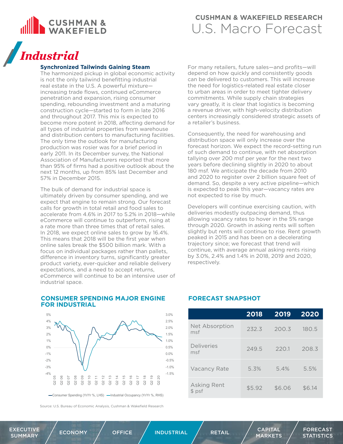<span id="page-6-0"></span>

## *Industrial*

### **Synchronized Tailwinds Gaining Steam**

The harmonized pickup in global economic activity is not the only tailwind benefitting industrial real estate in the U.S. A powerful mixture increasing trade flows, continued eCommerce penetration and expansion, rising consumer spending, rebounding investment and a maturing construction cycle—started to form in late 2016 and throughout 2017. This mix is expected to become more potent in 2018, affecting demand for all types of industrial properties from warehouse and distribution centers to manufacturing facilities. The only time the outlook for manufacturing production was rosier was for a brief period in early 2011. In its December survey, the National Association of Manufacturers reported that more than 95% of firms had a positive outlook about the next 12 months, up from 85% last December and 57% in December 2015.

The bulk of demand for industrial space is ultimately driven by consumer spending, and we expect that engine to remain strong. Our forecast calls for growth in total retail and food sales to accelerate from 4.6% in 2017 to 5.2% in 2018—while eCommerce will continue to outperform, rising at a rate more than three times that of retail sales. In 2018, we expect online sales to grow by 16.4%. This means that 2018 will be the first year when online sales break the \$500 billion mark. With a focus on individual packages rather than pallets, difference in inventory turns, significantly greater product variety, ever-quicker and reliable delivery expectations, and a need to accept returns, eCommerce will continue to be an intensive user of industrial space.

For many retailers, future sales—and profits—will depend on how quickly and consistently goods can be delivered to customers. This will increase the need for logistics-related real estate closer to urban areas in order to meet tighter delivery commitments. While supply chain strategies vary greatly, it is clear that logistics is becoming a revenue driver, with high-velocity distribution centers increasingly considered strategic assets of a retailer's business.

Consequently, the need for warehousing and distribution space will only increase over the forecast horizon. We expect the record-setting run of such demand to continue, with net absorption tallying over 200 msf per year for the next two years before declining slightly in 2020 to about 180 msf. We anticipate the decade from 2010 and 2020 to register over 2 billion square feet of demand. So, despite a very active pipeline—which is expected to peak this year—vacancy rates are not expected to rise by much.

Developers will continue exercising caution, with deliveries modestly outpacing demand, thus allowing vacancy rates to hover in the 5% range through 2020. Growth in asking rents will soften slightly but rents will continue to rise. Rent growth peaked in 2015 and has been on a decelerating trajectory since; we forecast that trend will continue, with average annual asking rents rising by 3.0%, 2.4% and 1.4% in 2018, 2019 and 2020, respectively.

#### **CONSUMER SPENDING MAJOR ENGINE FOR INDUSTRIAL**  3.0% 5%



Source: U.S. Bureau of Economic Analysis, Cushman & Wakefield Research

### **FORECAST SNAPSHOT**

|                        | 2018   | 2019   | 2020   |
|------------------------|--------|--------|--------|
| Net Absorption<br>msf  | 232.3  | 200.3  | 180.5  |
| Deliveries<br>msf      | 249.5  | 220.1  | 208.3  |
| Vacancy Rate           | 5.3%   | 5.4%   | 5.5%   |
| Asking Rent<br>$$$ psf | \$5.92 | \$6.06 | \$6.14 |

[EXECUTIVE](#page-2-0)   $\begin{array}{ccc} \text{EXECUTIVE} \end{array} \hspace{1.2cm} \Big/ \hspace{1.2cm} \begin{array}{ccc} \text{ECUTIVE} \end{array} \hspace{1.2cm} \Big/ \hspace{1.2cm} \begin{array}{ccc} \text{CAPITAL} \end{array}$ 

[MARKETS](#page-8-0)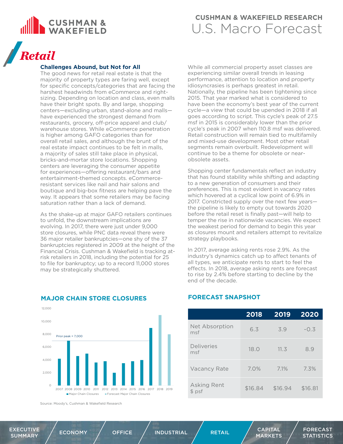<span id="page-7-0"></span>

## *Retail*

### **Challenges Abound, but Not for All**

The good news for retail real estate is that the majority of property types are faring well, except for specific concepts/categories that are facing the harshest headwinds from eCommerce and rightsizing. Depending on location and class, even malls have their bright spots. By and large, shopping centers—excluding urban, stand-alone and malls have experienced the strongest demand from restaurants, grocery, off-price apparel and club/ warehouse stores. While eCommerce penetration is higher among GAFO categories than for overall retail sales, and although the brunt of the real estate impact continues to be felt in malls, a majority of sales still take place in physical, bricks-and-mortar store locations. Shopping centers are leveraging the consumer appetite for experiences—offering restaurant/bars and entertainment-themed concepts. eCommerceresistant services like nail and hair salons and boutique and big-box fitness are helping pave the way. It appears that some retailers may be facing saturation rather than a lack of demand.

As the shake-up at major GAFO retailers continues to unfold, the downstream implications are evolving. In 2017, there were just under 9,000 store closures, while PNC data reveal there were 36 major retailer bankruptcies—one shy of the 37 bankruptcies registered in 2009 at the height of the Financial Crisis. Cushman & Wakefield is tracking atrisk retailers in 2018, including the potential for 25 to file for bankruptcy; up to a record 11,000 stores may be strategically shuttered.

While all commercial property asset classes are experiencing similar overall trends in leasing performance, attention to location and property idiosyncrasies is perhaps greatest in retail. Nationally, the pipeline has been tightening since 2015. That year marked what is considered to have been the economy's best year of the current cycle—a view that could be upended in 2018 if all goes according to script. This cycle's peak of 27.5 msf in 2015 is considerably lower than the prior cycle's peak in 2007 when 110.8 msf was delivered. Retail construction will remain tied to multifamily and mixed-use development. Most other retail segments remain overbuilt. Redevelopment will continue to be a theme for obsolete or nearobsolete assets.

Shopping center fundamentals reflect an industry that has found stability while shifting and adapting to a new generation of consumers and their preferences. This is most evident in vacancy rates which hovered at a cyclical low point of 6.9% in 2017. Constricted supply over the next few years the pipeline is likely to empty out towards 2020 before the retail reset is finally past—will help to temper the rise in nationwide vacancies. We expect the weakest period for demand to begin this year as closures mount and retailers attempt to revitalize strategy playbooks.

In 2017, average asking rents rose 2.9%. As the industry's dynamics catch up to affect tenants of all types, we anticipate rents to start to feel the effects. In 2018, average asking rents are forecast to rise by 2.4% before starting to decline by the end of the decade.



### **MAJOR CHAIN STORE CLOSURES FORECAST SNAPSHOT**

Source: Moody's, Cushman & Wakefield Research

|                       | 2018    | 2019    | 2020    |
|-----------------------|---------|---------|---------|
| Net Absorption<br>msf | 6.3     | 3.9     | $-0.3$  |
| Deliveries<br>msf     | 18.0    | 11.3    | 8.9     |
| <b>Vacancy Rate</b>   | 7.0%    | 7.1%    | 7.3%    |
| Asking Rent<br>\$psf  | \$16.84 | \$16.94 | \$16.81 |

[EXECUTIVE](#page-2-0) 

[MARKETS](#page-8-0)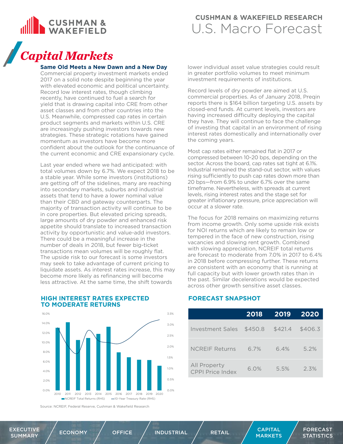<span id="page-8-0"></span>

## *Capital Markets*

#### **Same Old Meets a New Dawn and a New Day**

Commercial property investment markets ended 2017 on a solid note despite beginning the year with elevated economic and political uncertainty. Record low interest rates, though climbing recently, have continued to fuel a search for yield that is drawing capital into CRE from other asset classes and from other countries into the U.S. Meanwhile, compressed cap rates in certain product segments and markets within U.S. CRE are increasingly pushing investors towards new strategies. These strategic rotations have gained momentum as investors have become more confident about the outlook for the continuance of the current economic and CRE expansionary cycle.

Last year ended where we had anticipated: with total volumes down by 6.7%. We expect 2018 to be a stable year. While some investors (institutions) are getting off of the sidelines, many are reaching into secondary markets, suburbs and industrial assets that tend to have a lower nominal value than their CBD and gateway counterparts. The majority of transaction activity will continue to be in core properties. But elevated pricing spreads, large amounts of dry powder and enhanced risk appetite should translate to increased transaction activity by opportunistic and value-add investors. There could be a meaningful increase in the number of deals in 2018, but fewer big-ticket transactions mean volumes will be roughly flat. The upside risk to our forecast is some investors may seek to take advantage of current pricing to liquidate assets. As interest rates increase, this may become more likely as refinancing will become less attractive. At the same time, the shift towards

lower individual asset value strategies could result in greater portfolio volumes to meet minimum investment requirements of institutions.

Record levels of dry powder are aimed at U.S. commercial properties. As of January 2018, Pregin reports there is \$164 billion targeting U.S. assets by closed-end funds. At current levels, investors are having increased difficulty deploying the capital they have. They will continue to face the challenge of investing that capital in an environment of rising interest rates domestically and internationally over the coming years.

Most cap rates either remained flat in 2017 or compressed between 10-20 bps, depending on the sector. Across the board, cap rates sat tight at 6.1%. Industrial remained the stand-out sector, with values rising sufficiently to push cap rates down more than 20 bps—from 6.9% to under 6.7% over the same timeframe. Nevertheless, with spreads at current levels, rising interest rates and the stage set for greater inflationary pressure, price appreciation will occur at a slower rate.

The focus for 2018 remains on maximizing returns from income growth. Only some upside risk exists for NOI returns which are likely to remain low or tempered in the face of new construction, rising vacancies and slowing rent growth. Combined with slowing appreciation, NCREIF total returns are forecast to moderate from 7.0% in 2017 to 6.4% in 2018 before compressing further. These returns are consistent with an economy that is running at full capacity but with lower growth rates than in the past. Similar decelerations would be expected across other growth sensitive asset classes.



### **HIGH INTEREST RATES EXPECTED TO MODERATE RETURNS**

Source: NCREIF, Federal Reserve, Cushman & Wakefield Research

### **FORECAST SNAPSHOT**

|                                         | 2018    | 2019    | 2020    |
|-----------------------------------------|---------|---------|---------|
| Investment Sales \$450.8                |         | \$421.4 | \$406.3 |
| <b>NCREIF Returns</b>                   | 6.7%    | 6.4%    | 5.2%    |
| <b>All Property</b><br>CPPI Price Index | $6.0\%$ | 5.5%    | 2.3%    |

[EXECUTIVE](#page-2-0) 

MARKETS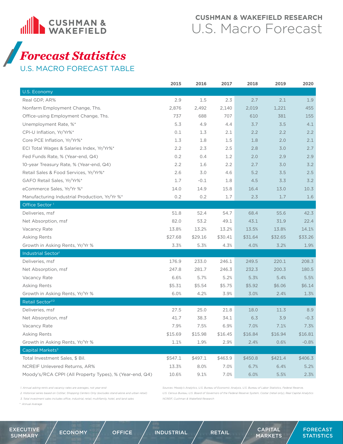<span id="page-9-0"></span>

## *Forecast Statistics*

U.S. MACRO FORECAST TABLE

|                                                         | 2015    | 2016    | 2017    | 2018    | 2019    | 2020    |
|---------------------------------------------------------|---------|---------|---------|---------|---------|---------|
| U.S. Economy                                            |         |         |         |         |         |         |
| Real GDP, AR%                                           | 2.9     | 1.5     | 2.3     | 2.7     | 2.1     | 1.9     |
| Nonfarm Employment Change, Ths.                         | 2,876   | 2,492   | 2,140   | 2,019   | 1,221   | 455     |
| Office-using Employment Change, Ths.                    | 737     | 688     | 707     | 610     | 381     | 155     |
| Unemployment Rate, %*                                   | 5.3     | 4.9     | 4.4     | 3.7     | 3.5     | 4.1     |
| CPI-U Inflation, Yr/Yr%*                                | 0.1     | 1.3     | 2.1     | 2.2     | 2.2     | 2.2     |
| Core PCE Inflation, Yr/Yr%*                             | 1.3     | 1.8     | 1.5     | 1.8     | 2.0     | 2.1     |
| ECI Total Wages & Salaries Index, Yr/Yr%*               | 2.2     | 2.3     | 2.5     | 2.8     | 3.0     | 2.7     |
| Fed Funds Rate, % (Year-end, Q4)                        | 0.2     | 0.4     | 1.2     | 2.0     | 2.9     | 2.9     |
| 10-year Treasury Rate, % (Year-end, Q4)                 | 2.2     | 1.6     | 2.2     | 2.7     | 3.0     | 3.2     |
| Retail Sales & Food Services, Yr/Yr%*                   | 2.6     | 3.0     | 4.6     | 5.2     | 3.5     | 2.5     |
| GAFO Retail Sales, Yr/Yr%*                              | 1.7     | $-0.1$  | 1.8     | 4.5     | 3.3     | 3.2     |
| eCommerce Sales, Yr/Yr %*                               | 14.0    | 14.9    | 15.8    | 16.4    | 13.0    | 10.3    |
| Manufacturing Industrial Production, Yr/Yr %*           | 0.2     | 0.2     | 1.7     | 2.3     | 1.7     | 1.6     |
| Office Sector <sup>1</sup>                              |         |         |         |         |         |         |
| Deliveries, msf                                         | 51.8    | 52.4    | 54.7    | 68.4    | 55.6    | 42.3    |
| Net Absorption, msf                                     | 82.0    | 53.2    | 49.1    | 43.1    | 31.9    | 22.4    |
| Vacancy Rate                                            | 13.8%   | 13.2%   | 13.2%   | 13.5%   | 13.8%   | 14.1%   |
| <b>Asking Rents</b>                                     | \$27.68 | \$29.16 | \$30.41 | \$31.64 | \$32.65 | \$33.26 |
| Growth in Asking Rents, Yr/Yr %                         | 3.3%    | 5.3%    | 4.3%    | 4.0%    | 3.2%    | 1.9%    |
| Industrial Sector <sup>1</sup>                          |         |         |         |         |         |         |
| Deliveries, msf                                         | 176.9   | 233.0   | 246.1   | 249.5   | 220.1   | 208.3   |
| Net Absorption, msf                                     | 247.8   | 281.7   | 246.3   | 232.3   | 200.3   | 180.5   |
| Vacancy Rate                                            | 6.6%    | 5.7%    | 5.2%    | 5.3%    | 5.4%    | 5.5%    |
| Asking Rents                                            | \$5.31  | \$5.54  | \$5.75  | \$5.92  | \$6.06  | \$6.14  |
| Growth in Asking Rents, Yr/Yr %                         | 6.0%    | 4.2%    | 3.9%    | 3.0%    | 2.4%    | 1.3%    |
| Retail Sector <sup>1/2</sup>                            |         |         |         |         |         |         |
| Deliveries, msf                                         | 27.5    | 25.0    | 21.8    | 18.0    | 11.3    | 8.9     |
| Net Absorption, msf                                     | 41.7    | 38.3    | 34.1    | 6.3     | 3.9     | $-0.3$  |
| Vacancy Rate                                            | 7.9%    | 7.5%    | 6.9%    | 7.0%    | 7.1%    | 7.3%    |
| Asking Rents                                            | \$15.69 | \$15.98 | \$16.45 | \$16.84 | \$16.94 | \$16.81 |
| Growth in Asking Rents, Yr/Yr %                         | 1.1%    | 1.9%    | 2.9%    | 2.4%    | 0.6%    | $-0.8%$ |
| Capital Markets <sup>3</sup>                            |         |         |         |         |         |         |
| Total Investment Sales, \$ Bil.                         | \$547.1 | \$497.1 | \$463.9 | \$450.8 | \$421.4 | \$406.3 |
| <b>NCREIF Unlevered Returns, AR%</b>                    | 13.3%   | 8.0%    | 7.0%    | 6.7%    | 6.4%    | 5.2%    |
| Moody's/RCA CPPI (All Property Types), % (Year-end, Q4) | 10.6%   | 9.1%    | 7.0%    | 6.0%    | 5.5%    | 2.3%    |

*1. Annual asking rents and vacancy rates are averages, not year-end*

*2. Historical series based on CoStar; Shopping Centers Only (excludes stand-alone and urban retail)*

*3. Total investment sales includes office, industrial, retail, multifamily, hotel, and land sales*

*\* Annual Average*

*Sources: Moody's Analytics, U.S. Bureau of Economic Analysis, U.S. Bureau of Labor Statistics, Federal Reserve, U.S. Census Bureau, U.S. Board of Governors of the Federal Reserve System, Costar (retail only), Real Capital Analytics NCREIF, Cushman & Wakefield Research*

[EXECUTIVE](#page-2-0)   $\begin{array}{ccc} \text{EXECUTIVE} \end{array} \hspace{1.2cm} \Big/ \hspace{1.2cm} \begin{array}{ccc} \text{ECUTIVE} \end{array} \hspace{1.2cm} \Big/ \hspace{1.2cm} \text{ECONOMY} \end{array} \hspace{1.2cm} \Big/ \hspace{1.2cm} \begin{array}{ccc} \text{OFFICE} \end{array} \hspace{1.2cm} \Big/ \hspace{1.2cm} \begin{array}{ccc} \text{RETAIL} \end{array} \hspace{1.2cm} \Big/ \hspace{1.2cm} \begin{array}{ccc} \text{CAPITAL} \end{array}$  $\begin{array}{ccc} \text{EXECUTIVE} \end{array} \hspace{1.2cm} \Big/ \hspace{1.2cm} \begin{array}{ccc} \text{ECUTIVE} \end{array} \hspace{1.2cm} \Big/ \hspace{1.2cm} \text{ECONOMY} \end{array} \hspace{1.2cm} \Big/ \hspace{1.2cm} \begin{array}{ccc} \text{OFFICE} \end{array} \hspace{1.2cm} \Big/ \hspace{1.2cm} \begin{array}{ccc} \text{RETAIL} \end{array} \hspace{1.2cm} \Big/ \hspace{1.2cm} \begin{array}{ccc} \text{CAPITAL} \end{array}$  $\begin{array}{ccc} \text{EXECUTIVE} \end{array} \hspace{1.2cm} \Big/ \hspace{1.2cm} \begin{array}{ccc} \text{ECUTIVE} \end{array} \hspace{1.2cm} \Big/ \hspace{1.2cm} \text{ECONOMY} \end{array} \hspace{1.2cm} \Big/ \hspace{1.2cm} \begin{array}{ccc} \text{OFFICE} \end{array} \hspace{1.2cm} \Big/ \hspace{1.2cm} \begin{array}{ccc} \text{RETAIL} \end{array} \hspace{1.2cm} \Big/ \hspace{1.2cm} \begin{array}{ccc} \text{CAPITAL} \end{array}$  $\begin{array}{ccc} \text{EXECUTIVE} \end{array} \hspace{1.2cm} \Big/ \hspace{1.2cm} \begin{array}{ccc} \text{ECUTIVE} \end{array} \hspace{1.2cm} \Big/ \hspace{1.2cm} \text{ECONOMY} \end{array} \hspace{1.2cm} \Big/ \hspace{1.2cm} \begin{array}{ccc} \text{OFFICE} \end{array} \hspace{1.2cm} \Big/ \hspace{1.2cm} \begin{array}{ccc} \text{RETAIL} \end{array} \hspace{1.2cm} \Big/ \hspace{1.2cm} \begin{array}{ccc} \text{CAPITAL} \end{array}$  $\begin{array}{ccc} \text{EXECUTIVE} \end{array} \hspace{1.2cm} \Big/ \hspace{1.2cm} \begin{array}{ccc} \text{ECUTIVE} \end{array} \hspace{1.2cm} \Big/ \hspace{1.2cm} \text{ECONOMY} \end{array} \hspace{1.2cm} \Big/ \hspace{1.2cm} \begin{array}{ccc} \text{OFFICE} \end{array} \hspace{1.2cm} \Big/ \hspace{1.2cm} \begin{array}{ccc} \text{RETAIL} \end{array} \hspace{1.2cm} \Big/ \hspace{1.2cm} \begin{array}{ccc} \text{CAPITAL} \end{array}$ 

[MARKETS](#page-8-0)